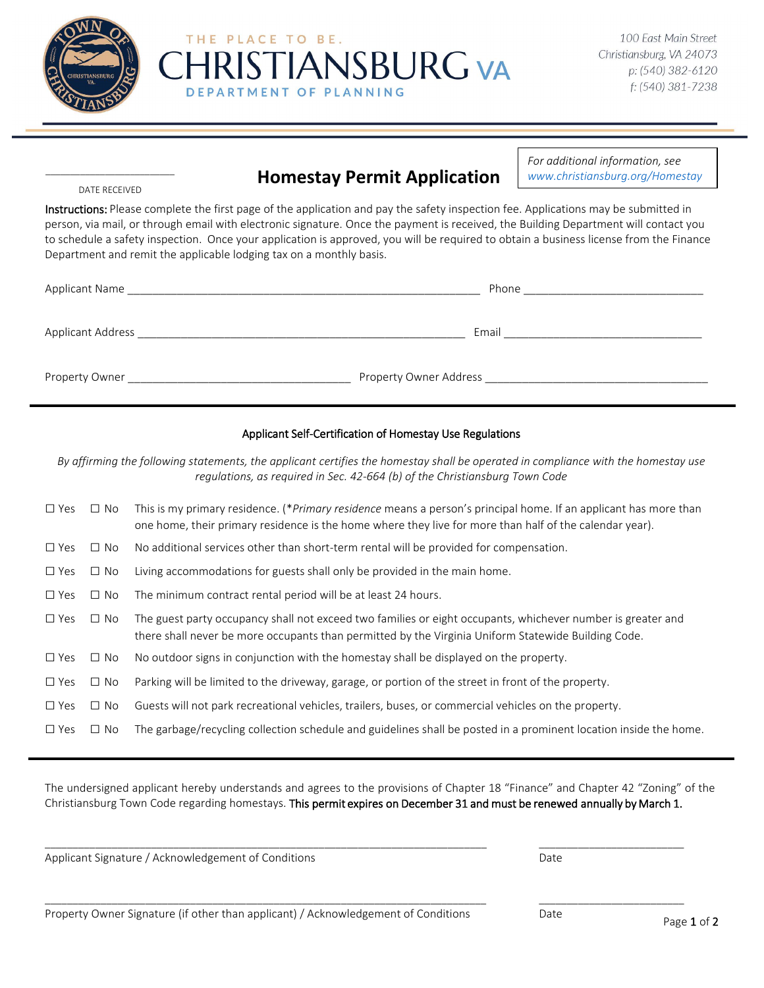



# **Homestay Permit Application**

**TIANSBURG VA** 

THE PLACE TO BE.

**ARTMENT OF PLANNING** 

*For additional information, see www.christiansburg.org/Homestay*

### \_\_\_\_\_\_\_\_\_\_\_\_\_\_\_\_\_\_\_\_\_\_\_\_\_\_ DATE RECEIVED

Instructions: Please complete the first page of the application and pay the safety inspection fee. Applications may be submitted in person, via mail, or through email with electronic signature. Once the payment is received, the Building Department will contact you to schedule a safety inspection. Once your application is approved, you will be required to obtain a business license from the Finance Department and remit the applicable lodging tax on a monthly basis.

| Applicant Name    | Phone                  |
|-------------------|------------------------|
|                   |                        |
| Applicant Address | Email                  |
|                   |                        |
| Property Owner    | Property Owner Address |
|                   |                        |

#### Applicant Self-Certification of Homestay Use Regulations

*By affirming the following statements, the applicant certifies the homestay shall be operated in compliance with the homestay use regulations, as required in Sec. 42-664 (b) of the Christiansburg Town Code*

| $\Box$ Yes    | $\Box$ No | This is my primary residence. (* <i>Primary residence</i> means a person's principal home. If an applicant has more than<br>one home, their primary residence is the home where they live for more than half of the calendar year). |
|---------------|-----------|-------------------------------------------------------------------------------------------------------------------------------------------------------------------------------------------------------------------------------------|
| $\Box$ Yes    | $\Box$ No | No additional services other than short-term rental will be provided for compensation.                                                                                                                                              |
| $\Box$ Yes    | $\Box$ No | Living accommodations for guests shall only be provided in the main home.                                                                                                                                                           |
| $\square$ Yes | $\Box$ No | The minimum contract rental period will be at least 24 hours.                                                                                                                                                                       |
| $\square$ Yes | $\Box$ No | The guest party occupancy shall not exceed two families or eight occupants, whichever number is greater and<br>there shall never be more occupants than permitted by the Virginia Uniform Statewide Building Code.                  |
| $\square$ Yes | $\Box$ No | No outdoor signs in conjunction with the homestay shall be displayed on the property.                                                                                                                                               |
| $\Box$ Yes    | $\Box$ No | Parking will be limited to the driveway, garage, or portion of the street in front of the property.                                                                                                                                 |
| $\Box$ Yes    | $\Box$ No | Guests will not park recreational vehicles, trailers, buses, or commercial vehicles on the property.                                                                                                                                |
| $\Box$ Yes    | No.<br>П  | The garbage/recycling collection schedule and guidelines shall be posted in a prominent location inside the home.                                                                                                                   |

The undersigned applicant hereby understands and agrees to the provisions of Chapter 18 "Finance" and Chapter 42 "Zoning" of the Christiansburg Town Code regarding homestays. This permit expires on December 31 and must be renewed annually by March 1.

\_\_\_\_\_\_\_\_\_\_\_\_\_\_\_\_\_\_\_\_\_\_\_\_\_\_\_\_\_\_\_\_\_\_\_\_\_\_\_\_\_\_\_\_\_\_\_\_\_\_\_\_\_\_\_\_\_\_\_\_\_\_\_\_\_\_\_\_\_\_\_\_\_\_\_\_\_\_\_ \_\_\_\_\_\_\_\_\_\_\_\_\_\_\_\_\_\_\_\_\_\_\_\_\_\_

\_\_\_\_\_\_\_\_\_\_\_\_\_\_\_\_\_\_\_\_\_\_\_\_\_\_\_\_\_\_\_\_\_\_\_\_\_\_\_\_\_\_\_\_\_\_\_\_\_\_\_\_\_\_\_\_\_\_\_\_\_\_\_\_\_\_\_\_\_\_\_\_\_\_\_\_\_\_\_ \_\_\_\_\_\_\_\_\_\_\_\_\_\_\_\_\_\_\_\_\_\_\_\_\_\_

Applicant Signature / Acknowledgement of Conditions and Date Date Date Date